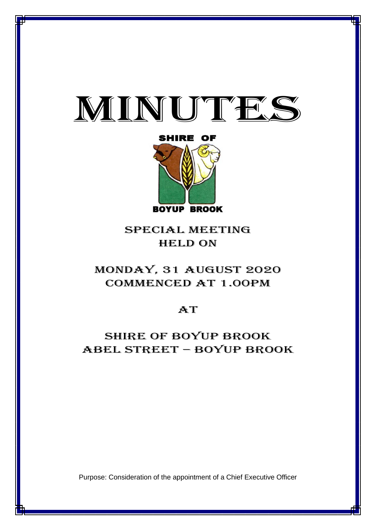



special meeting **HELD ON** 

# monday, 31 AUGUST 2020 CommencED at 1.00PM

## $AT$

## Shire of boyup brook ABEL STREET – BOYUP BROOK

Purpose: Consideration of the appointment of a Chief Executive Officer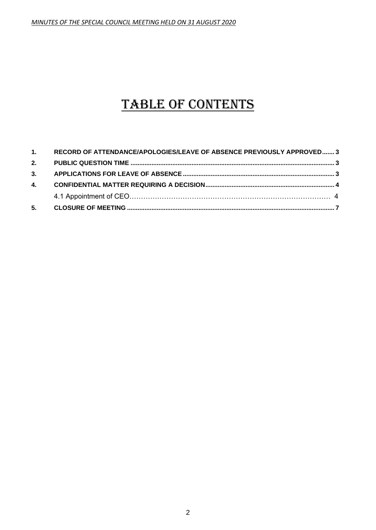# TABLE OF CONTENTS

|    | 1. RECORD OF ATTENDANCE/APOLOGIES/LEAVE OF ABSENCE PREVIOUSLY APPROVED 3 |  |
|----|--------------------------------------------------------------------------|--|
|    |                                                                          |  |
|    |                                                                          |  |
| 4. |                                                                          |  |
|    |                                                                          |  |
| 5. |                                                                          |  |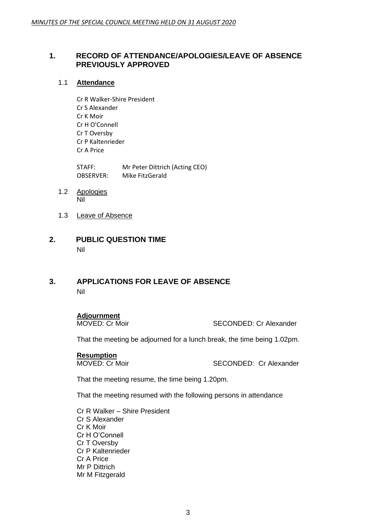#### <span id="page-2-0"></span>**1. RECORD OF ATTENDANCE/APOLOGIES/LEAVE OF ABSENCE PREVIOUSLY APPROVED**

#### 1.1 **Attendance**

Cr R Walker-Shire President Cr S Alexander Cr K Moir Cr H O'Connell Cr T Oversby Cr P Kaltenrieder Cr A Price

STAFF: Mr Peter Dittrich (Acting CEO) OBSERVER: Mike FitzGerald

- 1.2 Apologies Nil
- 1.3 Leave of Absence

### <span id="page-2-1"></span>**2. PUBLIC QUESTION TIME** Nil

### <span id="page-2-2"></span>**3. APPLICATIONS FOR LEAVE OF ABSENCE** Nil

### **Adjournment**

MOVED: Cr Moir SECONDED: Cr Alexander

That the meeting be adjourned for a lunch break, the time being 1.02pm.

# **Resumption**<br>MOVED: Cr Moir

SECONDED: Cr Alexander

That the meeting resume, the time being 1.20pm.

That the meeting resumed with the following persons in attendance

Cr R Walker – Shire President Cr S Alexander Cr K Moir Cr H O'Connell Cr T Oversby Cr P Kaltenrieder Cr A Price Mr P Dittrich Mr M Fitzgerald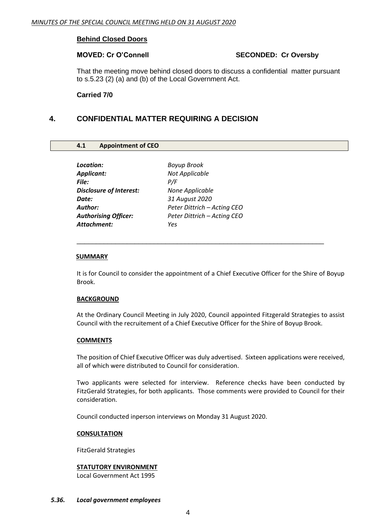#### **Behind Closed Doors**

#### **MOVED: Cr O'Connell SECONDED: Cr Oversby**

That the meeting move behind closed doors to discuss a confidential matter pursuant to s.5.23 (2) (a) and (b) of the Local Government Act.

**Carried 7/0**

### <span id="page-3-0"></span>**4. CONFIDENTIAL MATTER REQUIRING A DECISION**

#### **4.1 Appointment of CEO**

| Location:                   | <b>Boyup Brook</b>          |
|-----------------------------|-----------------------------|
| Applicant:                  | Not Applicable              |
| File:                       | P/F                         |
| Disclosure of Interest:     | None Applicable             |
| Date:                       | 31 August 2020              |
| Author:                     | Peter Dittrich - Acting CEO |
| <b>Authorising Officer:</b> | Peter Dittrich - Acting CEO |
| Attachment:                 | Yes                         |
|                             |                             |

#### **SUMMARY**

It is for Council to consider the appointment of a Chief Executive Officer for the Shire of Boyup Brook.

\_\_\_\_\_\_\_\_\_\_\_\_\_\_\_\_\_\_\_\_\_\_\_\_\_\_\_\_\_\_\_\_\_\_\_\_\_\_\_\_\_\_\_\_\_\_\_\_\_\_\_\_\_\_\_\_\_\_\_\_\_\_\_\_

#### **BACKGROUND**

At the Ordinary Council Meeting in July 2020, Council appointed Fitzgerald Strategies to assist Council with the recruitement of a Chief Executive Officer for the Shire of Boyup Brook.

#### **COMMENTS**

The position of Chief Executive Officer was duly advertised. Sixteen applications were received, all of which were distributed to Council for consideration.

Two applicants were selected for interview. Reference checks have been conducted by FitzGerald Strategies, for both applicants. Those comments were provided to Council for their consideration.

Council conducted inperson interviews on Monday 31 August 2020.

#### **CONSULTATION**

FitzGerald Strategies

#### **STATUTORY ENVIRONMENT**

Local Government Act 1995

*5.36. Local government employees*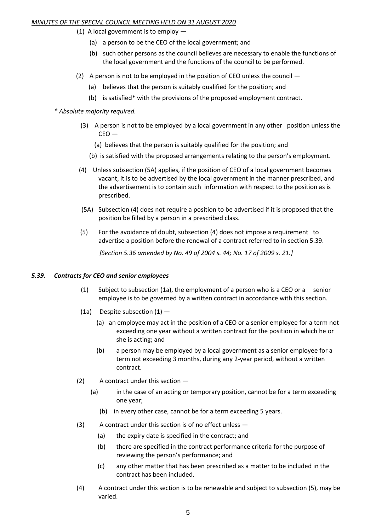#### *MINUTES OF THE SPECIAL COUNCIL MEETING HELD ON 31 AUGUST 2020*

- (1) A local government is to employ
	- (a) a person to be the CEO of the local government; and
	- (b) such other persons as the council believes are necessary to enable the functions of the local government and the functions of the council to be performed.
- (2) A person is not to be employed in the position of CEO unless the council
	- (a) believes that the person is suitably qualified for the position; and
	- (b) is satisfied\* with the provisions of the proposed employment contract.

#### *\* Absolute majority required.*

- (3) A person is not to be employed by a local government in any other position unless the  $CEO =$ 
	- (a) believes that the person is suitably qualified for the position; and
	- (b) is satisfied with the proposed arrangements relating to the person's employment.
- (4) Unless subsection (5A) applies, if the position of CEO of a local government becomes vacant, it is to be advertised by the local government in the manner prescribed, and the advertisement is to contain such information with respect to the position as is prescribed.
- (5A) Subsection (4) does not require a position to be advertised if it is proposed that the position be filled by a person in a prescribed class.
- (5) For the avoidance of doubt, subsection (4) does not impose a requirement to advertise a position before the renewal of a contract referred to in section 5.39.

*[Section 5.36 amended by No. 49 of 2004 s. 44; No. 17 of 2009 s. 21.]*

#### *5.39. Contracts for CEO and senior employees*

- (1) Subject to subsection (1a), the employment of a person who is a CEO or a senior employee is to be governed by a written contract in accordance with this section.
- (1a) Despite subsection  $(1)$  -
	- (a) an employee may act in the position of a CEO or a senior employee for a term not exceeding one year without a written contract for the position in which he or she is acting; and
	- (b) a person may be employed by a local government as a senior employee for a term not exceeding 3 months, during any 2-year period, without a written contract.
- (2) A contract under this section
	- (a) in the case of an acting or temporary position, cannot be for a term exceeding one year;
		- (b) in every other case, cannot be for a term exceeding 5 years.
- (3) A contract under this section is of no effect unless
	- (a) the expiry date is specified in the contract; and
	- (b) there are specified in the contract performance criteria for the purpose of reviewing the person's performance; and
	- (c) any other matter that has been prescribed as a matter to be included in the contract has been included.
- (4) A contract under this section is to be renewable and subject to subsection (5), may be varied.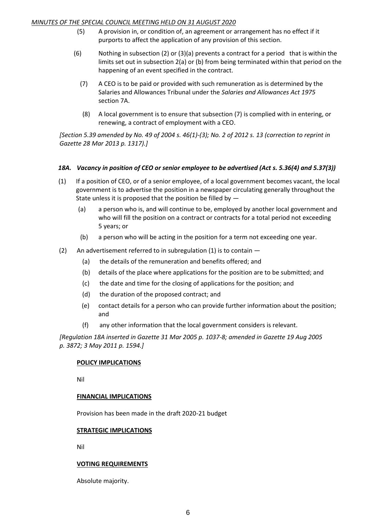#### *MINUTES OF THE SPECIAL COUNCIL MEETING HELD ON 31 AUGUST 2020*

- (5) A provision in, or condition of, an agreement or arrangement has no effect if it purports to affect the application of any provision of this section.
- (6) Nothing in subsection (2) or (3)(a) prevents a contract for a period that is within the limits set out in subsection 2(a) or (b) from being terminated within that period on the happening of an event specified in the contract.
	- (7) A CEO is to be paid or provided with such remuneration as is determined by the Salaries and Allowances Tribunal under the *Salaries and Allowances Act 1975* section 7A.
	- (8) A local government is to ensure that subsection (7) is complied with in entering, or renewing, a contract of employment with a CEO.

*[Section 5.39 amended by No. 49 of 2004 s. 46(1)-(3); No. 2 of 2012 s. 13 (correction to reprint in Gazette 28 Mar 2013 p. 1317).]*

#### *18A. Vacancy in position of CEO or senior employee to be advertised (Act s. 5.36(4) and 5.37(3))*

- (1) If a position of CEO, or of a senior employee, of a local government becomes vacant, the local government is to advertise the position in a newspaper circulating generally throughout the State unless it is proposed that the position be filled by —
	- (a) a person who is, and will continue to be, employed by another local government and who will fill the position on a contract or contracts for a total period not exceeding 5 years; or
	- (b) a person who will be acting in the position for a term not exceeding one year.
- (2) An advertisement referred to in subregulation (1) is to contain
	- (a) the details of the remuneration and benefits offered; and
	- (b) details of the place where applications for the position are to be submitted; and
	- (c) the date and time for the closing of applications for the position; and
	- (d) the duration of the proposed contract; and
	- (e) contact details for a person who can provide further information about the position; and
	- (f) any other information that the local government considers is relevant.

*[Regulation 18A inserted in Gazette 31 Mar 2005 p. 1037-8; amended in Gazette 19 Aug 2005 p. 3872; 3 May 2011 p. 1594.]*

#### **POLICY IMPLICATIONS**

Nil

#### **FINANCIAL IMPLICATIONS**

Provision has been made in the draft 2020-21 budget

#### **STRATEGIC IMPLICATIONS**

Nil

#### **VOTING REQUIREMENTS**

Absolute majority.